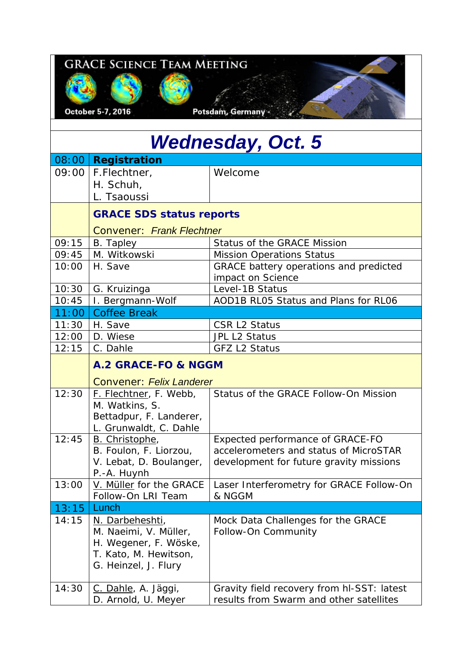| <b>GRACE SCIENCE TEAM MEETING</b> |                                                                                                 |                                                                                                                       |
|-----------------------------------|-------------------------------------------------------------------------------------------------|-----------------------------------------------------------------------------------------------------------------------|
|                                   | October 5-7, 2016                                                                               | Potsdam, Germany .                                                                                                    |
|                                   |                                                                                                 | <b>Wednesday, Oct. 5</b>                                                                                              |
|                                   |                                                                                                 |                                                                                                                       |
| 09:00                             | 08:00 Registration<br>F.Flechtner,<br>H. Schuh,<br>L. Tsaoussi                                  | Welcome                                                                                                               |
|                                   | <b>GRACE SDS status reports</b>                                                                 |                                                                                                                       |
|                                   | <b>Convener: Frank Flechtner</b>                                                                |                                                                                                                       |
| 09:15                             | B. Tapley                                                                                       | Status of the GRACE Mission                                                                                           |
| 09:45                             | M. Witkowski                                                                                    | <b>Mission Operations Status</b>                                                                                      |
| 10:00                             | H. Save                                                                                         | GRACE battery operations and predicted<br>impact on Science                                                           |
| 10:30                             | G. Kruizinga                                                                                    | Level-1B Status                                                                                                       |
| 10:45                             | I. Bergmann-Wolf                                                                                | AOD1B RL05 Status and Plans for RL06                                                                                  |
| 11:00                             | <b>Coffee Break</b>                                                                             |                                                                                                                       |
| 11:30                             | H. Save                                                                                         | <b>CSR L2 Status</b>                                                                                                  |
| 12:00                             | D. Wiese                                                                                        | JPL L2 Status                                                                                                         |
| 12:15                             | C. Dahle                                                                                        | <b>GFZ L2 Status</b>                                                                                                  |
|                                   | A.2 GRACE-FO & NGGM                                                                             |                                                                                                                       |
|                                   | <b>Convener: Felix Landerer</b>                                                                 |                                                                                                                       |
| 12:30                             | F. Flechtner, F. Webb,<br>M. Watkins, S.<br>Bettadpur, F. Landerer,<br>L. Grunwaldt, C. Dahle   | Status of the GRACE Follow-On Mission                                                                                 |
| 12:45                             | B. Christophe,<br>B. Foulon, F. Liorzou,<br>V. Lebat, D. Boulanger,<br>P.-A. Huynh              | Expected performance of GRACE-FO<br>accelerometers and status of MicroSTAR<br>development for future gravity missions |
| 13:00                             | V. Müller for the GRACE                                                                         | Laser Interferometry for GRACE Follow-On                                                                              |
|                                   | Follow-On LRI Team                                                                              | & NGGM                                                                                                                |
| 13:15<br>14:15                    | Lunch<br>N. Darbeheshti,                                                                        |                                                                                                                       |
|                                   | M. Naeimi, V. Müller,<br>H. Wegener, F. Wöske,<br>T. Kato, M. Hewitson,<br>G. Heinzel, J. Flury | Mock Data Challenges for the GRACE<br>Follow-On Community                                                             |
| 14:30                             | C. Dahle, A. Jäggi,<br>D. Arnold, U. Meyer                                                      | Gravity field recovery from hl-SST: latest<br>results from Swarm and other satellites                                 |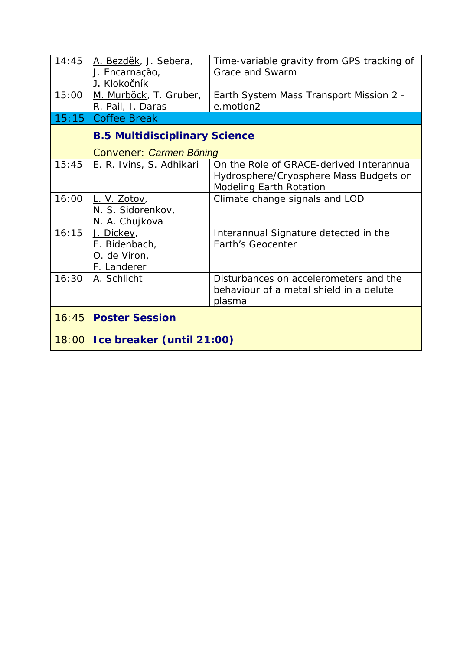| 14:45   | A. Bezděk, J. Sebera,<br>J. Encarnação,<br>J. Klokočník    | Time-variable gravity from GPS tracking of<br>Grace and Swarm                                                        |
|---------|------------------------------------------------------------|----------------------------------------------------------------------------------------------------------------------|
| 15:00   | M. Murböck, T. Gruber,<br>R. Pail, I. Daras                | Earth System Mass Transport Mission 2 -<br>e.motion2                                                                 |
| 15:15   | <b>Coffee Break</b>                                        |                                                                                                                      |
|         | <b>B.5 Multidisciplinary Science</b>                       |                                                                                                                      |
|         | <b>Convener: Carmen Böning</b>                             |                                                                                                                      |
| 15:45   | E. R. Ivins, S. Adhikari                                   | On the Role of GRACE-derived Interannual<br>Hydrosphere/Cryosphere Mass Budgets on<br><b>Modeling Earth Rotation</b> |
| 16:00   | L. V. Zotov,<br>N. S. Sidorenkov,<br>N. A. Chujkova        | Climate change signals and LOD                                                                                       |
| 16:15   | J. Dickey,<br>E. Bidenbach,<br>O. de Viron,<br>F. Landerer | Interannual Signature detected in the<br>Earth's Geocenter                                                           |
| 16:30   | A. Schlicht                                                | Disturbances on accelerometers and the<br>behaviour of a metal shield in a delute<br>plasma                          |
| 16:45   | <b>Poster Session</b>                                      |                                                                                                                      |
| $18:00$ | Ice breaker (until 21:00)                                  |                                                                                                                      |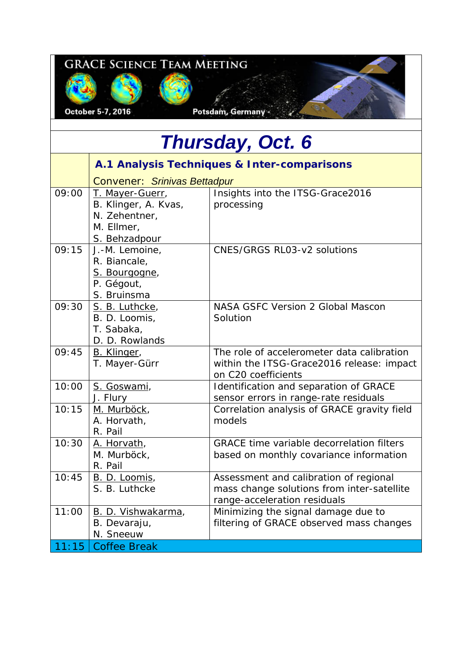| <b>GRACE SCIENCE TEAM MEETING</b><br>Potsdam, Germany -<br>October 5-7, 2016 |                                                                                                                                |                                                                                                                      |
|------------------------------------------------------------------------------|--------------------------------------------------------------------------------------------------------------------------------|----------------------------------------------------------------------------------------------------------------------|
| <b>Thursday, Oct. 6</b>                                                      |                                                                                                                                |                                                                                                                      |
|                                                                              | A.1 Analysis Techniques & Inter-comparisons                                                                                    |                                                                                                                      |
| 09:00                                                                        | <b>Convener: Srinivas Bettadpur</b><br>T. Mayer-Guerr,<br>B. Klinger, A. Kvas,<br>N. Zehentner,<br>M. Ellmer,<br>S. Behzadpour | Insights into the ITSG-Grace2016<br>processing                                                                       |
| 09:15                                                                        | J.-M. Lemoine,<br>R. Biancale,<br>S. Bourgogne,<br>P. Gégout,<br>S. Bruinsma                                                   | <b>CNES/GRGS RL03-v2 solutions</b>                                                                                   |
| 09:30                                                                        | S. B. Luthcke,<br>B. D. Loomis,<br>T. Sabaka,<br>D. D. Rowlands                                                                | NASA GSFC Version 2 Global Mascon<br>Solution                                                                        |
| 09:45                                                                        | B. Klinger,<br>T. Mayer-Gürr                                                                                                   | The role of accelerometer data calibration<br>within the ITSG-Grace2016 release: impact<br>on C20 coefficients       |
| 10:00                                                                        | S. Goswami,<br>J. Flury                                                                                                        | Identification and separation of GRACE<br>sensor errors in range-rate residuals                                      |
| 10:15                                                                        | <u>M. Murböck,</u><br>A. Horvath,<br>R. Pail                                                                                   | Correlation analysis of GRACE gravity field<br>models                                                                |
| 10:30                                                                        | A. Horvath,<br>M. Murböck,<br>R. Pail                                                                                          | <b>GRACE time variable decorrelation filters</b><br>based on monthly covariance information                          |
| 10:45                                                                        | <u>B. D. Loomis,</u><br>S. B. Luthcke                                                                                          | Assessment and calibration of regional<br>mass change solutions from inter-satellite<br>range-acceleration residuals |
| 11:00                                                                        | B. D. Vishwakarma,<br>B. Devaraju,<br>N. Sneeuw                                                                                | Minimizing the signal damage due to<br>filtering of GRACE observed mass changes                                      |

11:15 | Coffee Break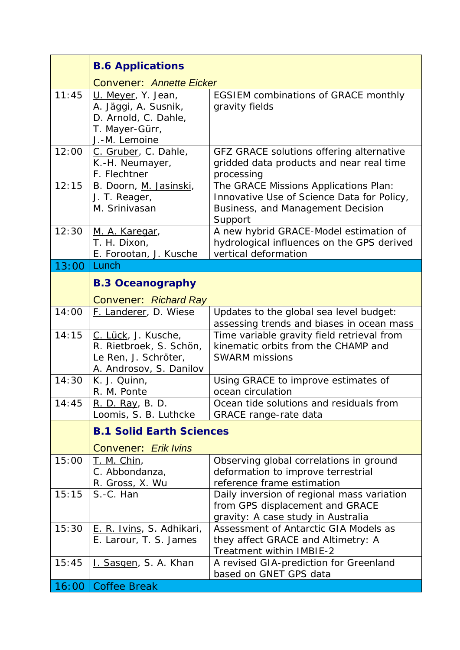|       | <b>B.6 Applications</b>                                                                               |                                                                                                                                     |
|-------|-------------------------------------------------------------------------------------------------------|-------------------------------------------------------------------------------------------------------------------------------------|
|       | <b>Convener: Annette Eicker</b>                                                                       |                                                                                                                                     |
| 11:45 | U. Meyer, Y. Jean,<br>A. Jäggi, A. Susnik,<br>D. Arnold, C. Dahle,<br>T. Mayer-Gürr,<br>J.-M. Lemoine | <b>EGSIEM combinations of GRACE monthly</b><br>gravity fields                                                                       |
| 12:00 | C. Gruber, C. Dahle,<br>K.-H. Neumayer,<br>F. Flechtner                                               | GFZ GRACE solutions offering alternative<br>gridded data products and near real time<br>processing                                  |
| 12:15 | B. Doorn, M. Jasinski,<br>J. T. Reager,<br>M. Srinivasan                                              | The GRACE Missions Applications Plan:<br>Innovative Use of Science Data for Policy,<br>Business, and Management Decision<br>Support |
| 12:30 | M. A. Karegar,<br>T. H. Dixon,<br>E. Forootan, J. Kusche                                              | A new hybrid GRACE-Model estimation of<br>hydrological influences on the GPS derived<br>vertical deformation                        |
| 13:00 | Lunch                                                                                                 |                                                                                                                                     |
|       | <b>B.3 Oceanography</b>                                                                               |                                                                                                                                     |
|       | <b>Convener: Richard Ray</b>                                                                          |                                                                                                                                     |
| 14:00 | F. Landerer, D. Wiese                                                                                 | Updates to the global sea level budget:<br>assessing trends and biases in ocean mass                                                |
| 14:15 | C. Lück, J. Kusche,<br>R. Rietbroek, S. Schön,<br>Le Ren, J. Schröter,<br>A. Androsov, S. Danilov     | Time variable gravity field retrieval from<br>kinematic orbits from the CHAMP and<br><b>SWARM missions</b>                          |
| 14:30 | <u>K. J. Quinn,</u><br>R. M. Ponte                                                                    | Using GRACE to improve estimates of<br>ocean circulation                                                                            |
| 14:45 | R. D. Ray, B. D.<br>Loomis, S. B. Luthcke                                                             | Ocean tide solutions and residuals from<br><b>GRACE</b> range-rate data                                                             |
|       | <b>B.1 Solid Earth Sciences</b><br><b>Convener: Erik Ivins</b>                                        |                                                                                                                                     |
| 15:00 | <u>T. M. Chin,</u><br>C. Abbondanza,<br>R. Gross, X. Wu                                               | Observing global correlations in ground<br>deformation to improve terrestrial<br>reference frame estimation                         |
| 15:15 | <u>S.-C. Han</u>                                                                                      | Daily inversion of regional mass variation<br>from GPS displacement and GRACE<br>gravity: A case study in Australia                 |
| 15:30 | E. R. Ivins, S. Adhikari,<br>E. Larour, T. S. James                                                   | Assessment of Antarctic GIA Models as<br>they affect GRACE and Altimetry: A<br>Treatment within IMBIE-2                             |
| 15:45 | I. Sasgen, S. A. Khan                                                                                 | A revised GIA-prediction for Greenland<br>based on GNET GPS data                                                                    |
| 16:00 | <b>Coffee Break</b>                                                                                   |                                                                                                                                     |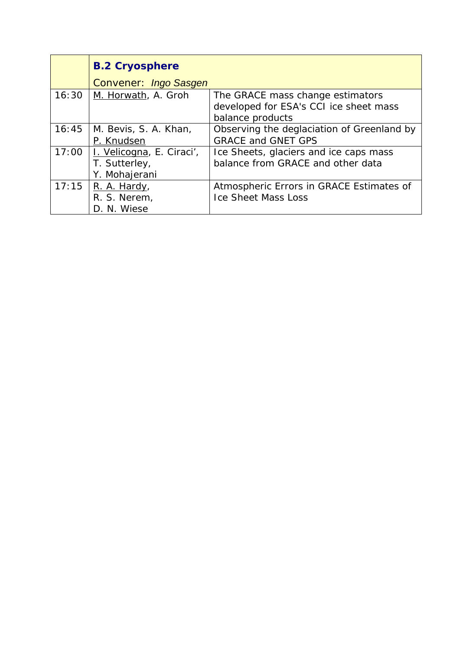|       | <b>B.2 Cryosphere</b>     |                                            |
|-------|---------------------------|--------------------------------------------|
|       | Convener: Ingo Sasgen     |                                            |
| 16:30 | M. Horwath, A. Groh       | The GRACE mass change estimators           |
|       |                           | developed for ESA's CCI ice sheet mass     |
|       |                           | balance products                           |
| 16:45 | M. Bevis, S. A. Khan,     | Observing the deglaciation of Greenland by |
|       | P. Knudsen                | <b>GRACE and GNET GPS</b>                  |
| 17:00 | I. Velicogna, E. Ciraci', | Ice Sheets, glaciers and ice caps mass     |
|       | T. Sutterley,             | balance from GRACE and other data          |
|       | Y. Mohajerani             |                                            |
| 17:15 | R. A. Hardy,              | Atmospheric Errors in GRACE Estimates of   |
|       | R. S. Nerem,              | <b>Ice Sheet Mass Loss</b>                 |
|       | D. N. Wiese               |                                            |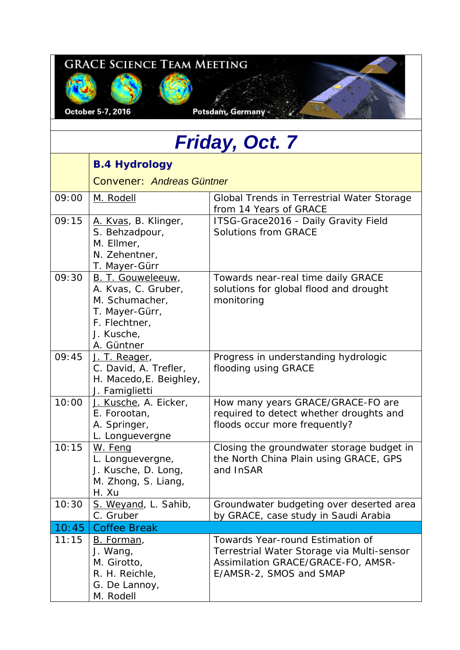| <b>GRACE SCIENCE TEAM MEETING</b><br>October 5-7, 2016<br>Potsdam, Germany |                                                                                                                           |                                                                                                                                                 |
|----------------------------------------------------------------------------|---------------------------------------------------------------------------------------------------------------------------|-------------------------------------------------------------------------------------------------------------------------------------------------|
|                                                                            |                                                                                                                           | Friday, Oct. 7                                                                                                                                  |
|                                                                            | <b>B.4 Hydrology</b>                                                                                                      |                                                                                                                                                 |
|                                                                            | <b>Convener: Andreas Güntner</b>                                                                                          |                                                                                                                                                 |
| 09:00                                                                      | M. Rodell                                                                                                                 | Global Trends in Terrestrial Water Storage<br>from 14 Years of GRACE                                                                            |
| 09:15                                                                      | A. Kvas, B. Klinger,<br>S. Behzadpour,<br>M. Ellmer,<br>N. Zehentner,<br>T. Mayer-Gürr                                    | ITSG-Grace2016 - Daily Gravity Field<br><b>Solutions from GRACE</b>                                                                             |
| 09:30                                                                      | B. T. Gouweleeuw,<br>A. Kvas, C. Gruber,<br>M. Schumacher,<br>T. Mayer-Gürr,<br>F. Flechtner,<br>J. Kusche,<br>A. Güntner | Towards near-real time daily GRACE<br>solutions for global flood and drought<br>monitoring                                                      |
| 09:45                                                                      | J. T. Reager,<br>C. David, A. Trefler,<br>H. Macedo, E. Beighley,<br>J. Famiglietti                                       | Progress in understanding hydrologic<br>flooding using GRACE                                                                                    |
| 10:00                                                                      | J. Kusche, A. Eicker,<br>E. Forootan,<br>A. Springer,<br>L. Longuevergne                                                  | How many years GRACE/GRACE-FO are<br>required to detect whether droughts and<br>floods occur more frequently?                                   |
| 10:15                                                                      | W. Feng<br>L. Longuevergne,<br>J. Kusche, D. Long,<br>M. Zhong, S. Liang,<br>H. Xu                                        | Closing the groundwater storage budget in<br>the North China Plain using GRACE, GPS<br>and InSAR                                                |
| 10:30                                                                      | S. Weyand, L. Sahib,<br>C. Gruber                                                                                         | Groundwater budgeting over deserted area<br>by GRACE, case study in Saudi Arabia                                                                |
| 10:45                                                                      | <b>Coffee Break</b>                                                                                                       |                                                                                                                                                 |
| 11:15                                                                      | B. Forman,<br>J. Wang,<br>M. Girotto,<br>R. H. Reichle,<br>G. De Lannoy,<br>M. Rodell                                     | Towards Year-round Estimation of<br>Terrestrial Water Storage via Multi-sensor<br>Assimilation GRACE/GRACE-FO, AMSR-<br>E/AMSR-2, SMOS and SMAP |